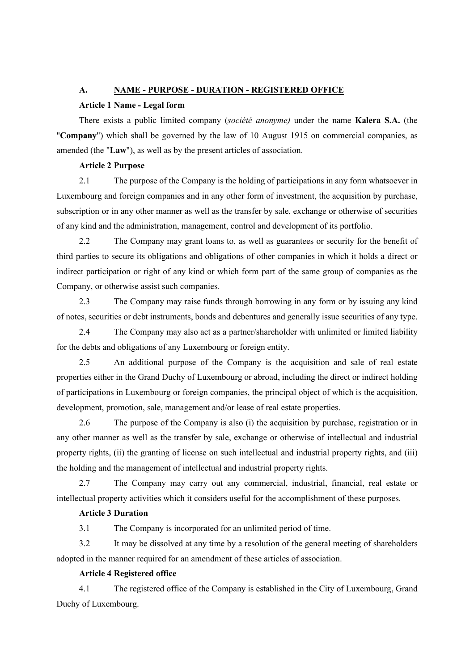# **A. NAME - PURPOSE - DURATION - REGISTERED OFFICE**

# **Article 1 Name - Legal form**

There exists a public limited company (*société anonyme)* under the name **Kalera S.A.** (the "**Company**") which shall be governed by the law of 10 August 1915 on commercial companies, as amended (the "**Law**"), as well as by the present articles of association.

## **Article 2 Purpose**

2.1 The purpose of the Company is the holding of participations in any form whatsoever in Luxembourg and foreign companies and in any other form of investment, the acquisition by purchase, subscription or in any other manner as well as the transfer by sale, exchange or otherwise of securities of any kind and the administration, management, control and development of its portfolio.

2.2 The Company may grant loans to, as well as guarantees or security for the benefit of third parties to secure its obligations and obligations of other companies in which it holds a direct or indirect participation or right of any kind or which form part of the same group of companies as the Company, or otherwise assist such companies.

2.3 The Company may raise funds through borrowing in any form or by issuing any kind of notes, securities or debt instruments, bonds and debentures and generally issue securities of any type.

2.4 The Company may also act as a partner/shareholder with unlimited or limited liability for the debts and obligations of any Luxembourg or foreign entity.

2.5 An additional purpose of the Company is the acquisition and sale of real estate properties either in the Grand Duchy of Luxembourg or abroad, including the direct or indirect holding of participations in Luxembourg or foreign companies, the principal object of which is the acquisition, development, promotion, sale, management and/or lease of real estate properties.

2.6 The purpose of the Company is also (i) the acquisition by purchase, registration or in any other manner as well as the transfer by sale, exchange or otherwise of intellectual and industrial property rights, (ii) the granting of license on such intellectual and industrial property rights, and (iii) the holding and the management of intellectual and industrial property rights.

2.7 The Company may carry out any commercial, industrial, financial, real estate or intellectual property activities which it considers useful for the accomplishment of these purposes.

# **Article 3 Duration**

3.1 The Company is incorporated for an unlimited period of time.

<span id="page-0-0"></span>3.2 It may be dissolved at any time by a resolution of the general meeting of shareholders adopted in the manner required for an amendment of these articles of association.

# **Article 4 Registered office**

4.1 The registered office of the Company is established in the City of Luxembourg, Grand Duchy of Luxembourg.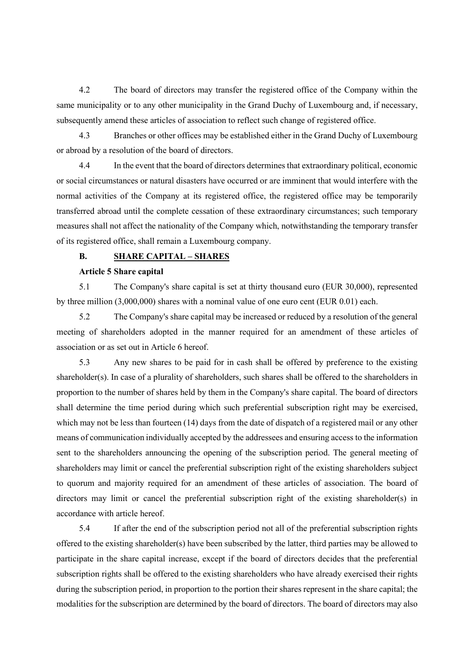4.2 The board of directors may transfer the registered office of the Company within the same municipality or to any other municipality in the Grand Duchy of Luxembourg and, if necessary, subsequently amend these articles of association to reflect such change of registered office.

4.3 Branches or other offices may be established either in the Grand Duchy of Luxembourg or abroad by a resolution of the board of directors.

4.4 In the event that the board of directors determines that extraordinary political, economic or social circumstances or natural disasters have occurred or are imminent that would interfere with the normal activities of the Company at its registered office, the registered office may be temporarily transferred abroad until the complete cessation of these extraordinary circumstances; such temporary measures shall not affect the nationality of the Company which, notwithstanding the temporary transfer of its registered office, shall remain a Luxembourg company.

# **B. SHARE CAPITAL – SHARES**

#### **Article 5 Share capital**

5.1 The Company's share capital is set at thirty thousand euro (EUR 30,000), represented by three million (3,000,000) shares with a nominal value of one euro cent (EUR 0.01) each.

5.2 The Company's share capital may be increased or reduced by a resolution of the general meeting of shareholders adopted in the manner required for an amendment of these articles of association or as set out in Article 6 hereof.

5.3 Any new shares to be paid for in cash shall be offered by preference to the existing shareholder(s). In case of a plurality of shareholders, such shares shall be offered to the shareholders in proportion to the number of shares held by them in the Company's share capital. The board of directors shall determine the time period during which such preferential subscription right may be exercised, which may not be less than fourteen (14) days from the date of dispatch of a registered mail or any other means of communication individually accepted by the addressees and ensuring access to the information sent to the shareholders announcing the opening of the subscription period. The general meeting of shareholders may limit or cancel the preferential subscription right of the existing shareholders subject to quorum and majority required for an amendment of these articles of association. The board of directors may limit or cancel the preferential subscription right of the existing shareholder(s) in accordance with article hereof.

5.4 If after the end of the subscription period not all of the preferential subscription rights offered to the existing shareholder(s) have been subscribed by the latter, third parties may be allowed to participate in the share capital increase, except if the board of directors decides that the preferential subscription rights shall be offered to the existing shareholders who have already exercised their rights during the subscription period, in proportion to the portion their shares represent in the share capital; the modalities for the subscription are determined by the board of directors. The board of directors may also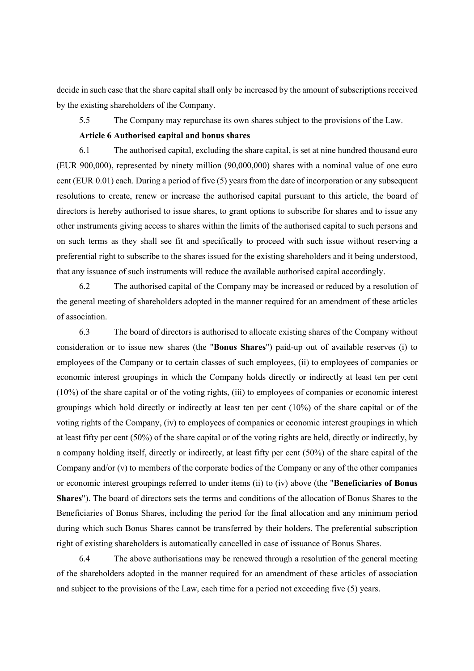decide in such case that the share capital shall only be increased by the amount of subscriptions received by the existing shareholders of the Company.

5.5 The Company may repurchase its own shares subject to the provisions of the Law.

# **Article 6 Authorised capital and bonus shares**

6.1 The authorised capital, excluding the share capital, is set at nine hundred thousand euro (EUR 900,000), represented by ninety million (90,000,000) shares with a nominal value of one euro cent (EUR 0.01) each. During a period of five (5) years from the date of incorporation or any subsequent resolutions to create, renew or increase the authorised capital pursuant to this article, the board of directors is hereby authorised to issue shares, to grant options to subscribe for shares and to issue any other instruments giving access to shares within the limits of the authorised capital to such persons and on such terms as they shall see fit and specifically to proceed with such issue without reserving a preferential right to subscribe to the shares issued for the existing shareholders and it being understood, that any issuance of such instruments will reduce the available authorised capital accordingly.

6.2 The authorised capital of the Company may be increased or reduced by a resolution of the general meeting of shareholders adopted in the manner required for an amendment of these articles of association.

6.3 The board of directors is authorised to allocate existing shares of the Company without consideration or to issue new shares (the "**Bonus Shares**") paid-up out of available reserves (i) to employees of the Company or to certain classes of such employees, (ii) to employees of companies or economic interest groupings in which the Company holds directly or indirectly at least ten per cent (10%) of the share capital or of the voting rights, (iii) to employees of companies or economic interest groupings which hold directly or indirectly at least ten per cent (10%) of the share capital or of the voting rights of the Company, (iv) to employees of companies or economic interest groupings in which at least fifty per cent (50%) of the share capital or of the voting rights are held, directly or indirectly, by a company holding itself, directly or indirectly, at least fifty per cent (50%) of the share capital of the Company and/or  $(v)$  to members of the corporate bodies of the Company or any of the other companies or economic interest groupings referred to under items (ii) to (iv) above (the "**Beneficiaries of Bonus Shares**"). The board of directors sets the terms and conditions of the allocation of Bonus Shares to the Beneficiaries of Bonus Shares, including the period for the final allocation and any minimum period during which such Bonus Shares cannot be transferred by their holders. The preferential subscription right of existing shareholders is automatically cancelled in case of issuance of Bonus Shares.

6.4 The above authorisations may be renewed through a resolution of the general meeting of the shareholders adopted in the manner required for an amendment of these articles of association and subject to the provisions of the Law, each time for a period not exceeding five (5) years.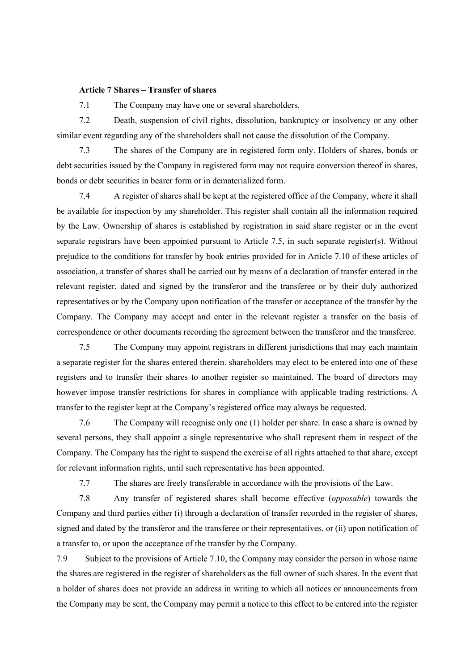#### **Article 7 Shares – Transfer of shares**

7.1 The Company may have one or several shareholders.

7.2 Death, suspension of civil rights, dissolution, bankruptcy or insolvency or any other similar event regarding any of the shareholders shall not cause the dissolution of the Company.

7.3 The shares of the Company are in registered form only. Holders of shares, bonds or debt securities issued by the Company in registered form may not require conversion thereof in shares, bonds or debt securities in bearer form or in dematerialized form.

7.4 A register of shares shall be kept at the registered office of the Company, where it shall be available for inspection by any shareholder. This register shall contain all the information required by the Law. Ownership of shares is established by registration in said share register or in the event separate registrars have been appointed pursuant to Article 7.5, in such separate register(s). Without prejudice to the conditions for transfer by book entries provided for in Article [7.10](#page-4-0) of these articles of association, a transfer of shares shall be carried out by means of a declaration of transfer entered in the relevant register, dated and signed by the transferor and the transferee or by their duly authorized representatives or by the Company upon notification of the transfer or acceptance of the transfer by the Company. The Company may accept and enter in the relevant register a transfer on the basis of correspondence or other documents recording the agreement between the transferor and the transferee.

7.5 The Company may appoint registrars in different jurisdictions that may each maintain a separate register for the shares entered therein. shareholders may elect to be entered into one of these registers and to transfer their shares to another register so maintained. The board of directors may however impose transfer restrictions for shares in compliance with applicable trading restrictions. A transfer to the register kept at the Company's registered office may always be requested.

7.6 The Company will recognise only one (1) holder per share. In case a share is owned by several persons, they shall appoint a single representative who shall represent them in respect of the Company. The Company has the right to suspend the exercise of all rights attached to that share, except for relevant information rights, until such representative has been appointed.

7.7 The shares are freely transferable in accordance with the provisions of the Law.

7.8 Any transfer of registered shares shall become effective (*opposable*) towards the Company and third parties either (i) through a declaration of transfer recorded in the register of shares, signed and dated by the transferor and the transferee or their representatives, or (ii) upon notification of a transfer to, or upon the acceptance of the transfer by the Company.

7.9 Subject to the provisions of Article [7.10,](#page-4-0) the Company may consider the person in whose name the shares are registered in the register of shareholders as the full owner of such shares. In the event that a holder of shares does not provide an address in writing to which all notices or announcements from the Company may be sent, the Company may permit a notice to this effect to be entered into the register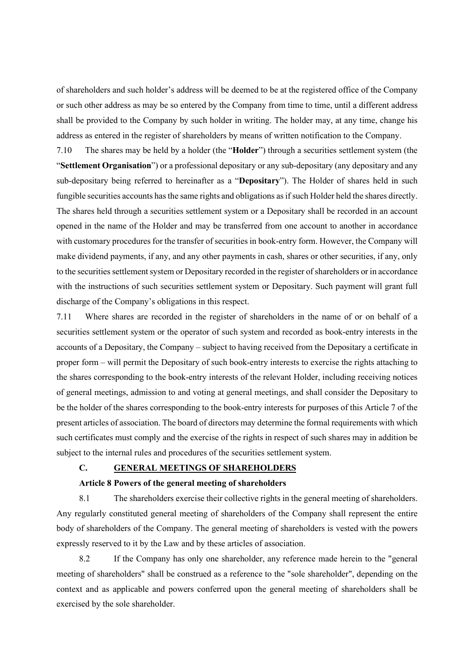of shareholders and such holder's address will be deemed to be at the registered office of the Company or such other address as may be so entered by the Company from time to time, until a different address shall be provided to the Company by such holder in writing. The holder may, at any time, change his address as entered in the register of shareholders by means of written notification to the Company.

<span id="page-4-0"></span>7.10 The shares may be held by a holder (the "**Holder**") through a securities settlement system (the "**Settlement Organisation**") or a professional depositary or any sub-depositary (any depositary and any sub-depositary being referred to hereinafter as a "**Depositary**"). The Holder of shares held in such fungible securities accounts has the same rights and obligations as if such Holder held the shares directly. The shares held through a securities settlement system or a Depositary shall be recorded in an account opened in the name of the Holder and may be transferred from one account to another in accordance with customary procedures for the transfer of securities in book-entry form. However, the Company will make dividend payments, if any, and any other payments in cash, shares or other securities, if any, only to the securities settlement system or Depositary recorded in the register of shareholders or in accordance with the instructions of such securities settlement system or Depositary. Such payment will grant full discharge of the Company's obligations in this respect.

7.11 Where shares are recorded in the register of shareholders in the name of or on behalf of a securities settlement system or the operator of such system and recorded as book-entry interests in the accounts of a Depositary, the Company – subject to having received from the Depositary a certificate in proper form – will permit the Depositary of such book-entry interests to exercise the rights attaching to the shares corresponding to the book-entry interests of the relevant Holder, including receiving notices of general meetings, admission to and voting at general meetings, and shall consider the Depositary to be the holder of the shares corresponding to the book-entry interests for purposes of this Article 7 of the present articles of association. The board of directors may determine the formal requirements with which such certificates must comply and the exercise of the rights in respect of such shares may in addition be subject to the internal rules and procedures of the securities settlement system.

# **C. GENERAL MEETINGS OF SHAREHOLDERS**

#### **Article 8 Powers of the general meeting of shareholders**

8.1 The shareholders exercise their collective rights in the general meeting of shareholders. Any regularly constituted general meeting of shareholders of the Company shall represent the entire body of shareholders of the Company. The general meeting of shareholders is vested with the powers expressly reserved to it by the Law and by these articles of association.

8.2 If the Company has only one shareholder, any reference made herein to the "general meeting of shareholders" shall be construed as a reference to the "sole shareholder", depending on the context and as applicable and powers conferred upon the general meeting of shareholders shall be exercised by the sole shareholder.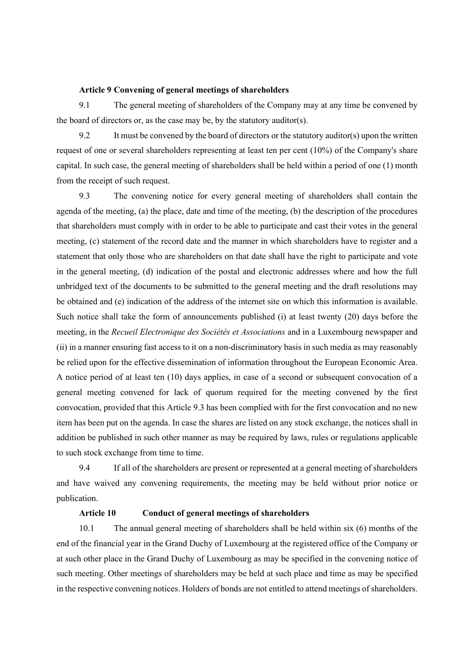#### **Article 9 Convening of general meetings of shareholders**

9.1 The general meeting of shareholders of the Company may at any time be convened by the board of directors or, as the case may be, by the statutory auditor(s).

9.2 It must be convened by the board of directors or the statutory auditor(s) upon the written request of one or several shareholders representing at least ten per cent (10%) of the Company's share capital. In such case, the general meeting of shareholders shall be held within a period of one (1) month from the receipt of such request.

<span id="page-5-0"></span>9.3 The convening notice for every general meeting of shareholders shall contain the agenda of the meeting, (a) the place, date and time of the meeting, (b) the description of the procedures that shareholders must comply with in order to be able to participate and cast their votes in the general meeting, (c) statement of the record date and the manner in which shareholders have to register and a statement that only those who are shareholders on that date shall have the right to participate and vote in the general meeting, (d) indication of the postal and electronic addresses where and how the full unbridged text of the documents to be submitted to the general meeting and the draft resolutions may be obtained and (e) indication of the address of the internet site on which this information is available. Such notice shall take the form of announcements published (i) at least twenty (20) days before the meeting, in the *Recueil Electronique des Sociétés et Associations* and in a Luxembourg newspaper and (ii) in a manner ensuring fast access to it on a non-discriminatory basis in such media as may reasonably be relied upon for the effective dissemination of information throughout the European Economic Area. A notice period of at least ten (10) days applies, in case of a second or subsequent convocation of a general meeting convened for lack of quorum required for the meeting convened by the first convocation, provided that this Articl[e 9.3](#page-5-0) has been complied with for the first convocation and no new item has been put on the agenda. In case the shares are listed on any stock exchange, the notices shall in addition be published in such other manner as may be required by laws, rules or regulations applicable to such stock exchange from time to time.

9.4 If all of the shareholders are present or represented at a general meeting of shareholders and have waived any convening requirements, the meeting may be held without prior notice or publication.

# **Article 10 Conduct of general meetings of shareholders**

10.1 The annual general meeting of shareholders shall be held within six (6) months of the end of the financial year in the Grand Duchy of Luxembourg at the registered office of the Company or at such other place in the Grand Duchy of Luxembourg as may be specified in the convening notice of such meeting. Other meetings of shareholders may be held at such place and time as may be specified in the respective convening notices. Holders of bonds are not entitled to attend meetings of shareholders.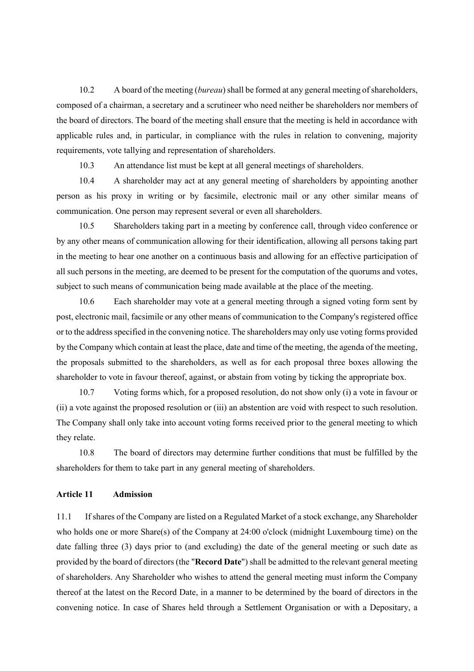10.2 A board of the meeting (*bureau*) shall be formed at any general meeting of shareholders, composed of a chairman, a secretary and a scrutineer who need neither be shareholders nor members of the board of directors. The board of the meeting shall ensure that the meeting is held in accordance with applicable rules and, in particular, in compliance with the rules in relation to convening, majority requirements, vote tallying and representation of shareholders.

10.3 An attendance list must be kept at all general meetings of shareholders.

10.4 A shareholder may act at any general meeting of shareholders by appointing another person as his proxy in writing or by facsimile, electronic mail or any other similar means of communication. One person may represent several or even all shareholders.

10.5 Shareholders taking part in a meeting by conference call, through video conference or by any other means of communication allowing for their identification, allowing all persons taking part in the meeting to hear one another on a continuous basis and allowing for an effective participation of all such persons in the meeting, are deemed to be present for the computation of the quorums and votes, subject to such means of communication being made available at the place of the meeting.

10.6 Each shareholder may vote at a general meeting through a signed voting form sent by post, electronic mail, facsimile or any other means of communication to the Company's registered office or to the address specified in the convening notice. The shareholders may only use voting forms provided by the Company which contain at least the place, date and time of the meeting, the agenda of the meeting, the proposals submitted to the shareholders, as well as for each proposal three boxes allowing the shareholder to vote in favour thereof, against, or abstain from voting by ticking the appropriate box.

10.7 Voting forms which, for a proposed resolution, do not show only (i) a vote in favour or (ii) a vote against the proposed resolution or (iii) an abstention are void with respect to such resolution. The Company shall only take into account voting forms received prior to the general meeting to which they relate.

10.8 The board of directors may determine further conditions that must be fulfilled by the shareholders for them to take part in any general meeting of shareholders.

## **Article 11 Admission**

11.1 If shares of the Company are listed on a Regulated Market of a stock exchange, any Shareholder who holds one or more Share(s) of the Company at 24:00 o'clock (midnight Luxembourg time) on the date falling three (3) days prior to (and excluding) the date of the general meeting or such date as provided by the board of directors (the "**Record Date**") shall be admitted to the relevant general meeting of shareholders. Any Shareholder who wishes to attend the general meeting must inform the Company thereof at the latest on the Record Date, in a manner to be determined by the board of directors in the convening notice. In case of Shares held through a Settlement Organisation or with a Depositary, a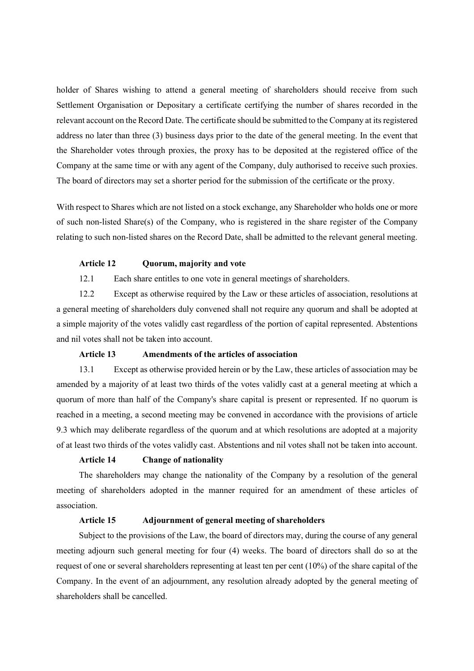holder of Shares wishing to attend a general meeting of shareholders should receive from such Settlement Organisation or Depositary a certificate certifying the number of shares recorded in the relevant account on the Record Date. The certificate should be submitted to the Company at its registered address no later than three (3) business days prior to the date of the general meeting. In the event that the Shareholder votes through proxies, the proxy has to be deposited at the registered office of the Company at the same time or with any agent of the Company, duly authorised to receive such proxies. The board of directors may set a shorter period for the submission of the certificate or the proxy.

With respect to Shares which are not listed on a stock exchange, any Shareholder who holds one or more of such non-listed Share(s) of the Company, who is registered in the share register of the Company relating to such non-listed shares on the Record Date, shall be admitted to the relevant general meeting.

#### **Article 12 Quorum, majority and vote**

12.1 Each share entitles to one vote in general meetings of shareholders.

12.2 Except as otherwise required by the Law or these articles of association, resolutions at a general meeting of shareholders duly convened shall not require any quorum and shall be adopted at a simple majority of the votes validly cast regardless of the portion of capital represented. Abstentions and nil votes shall not be taken into account.

# **Article 13 Amendments of the articles of association**

13.1 Except as otherwise provided herein or by the Law, these articles of association may be amended by a majority of at least two thirds of the votes validly cast at a general meeting at which a quorum of more than half of the Company's share capital is present or represented. If no quorum is reached in a meeting, a second meeting may be convened in accordance with the provisions of article 9.3 which may deliberate regardless of the quorum and at which resolutions are adopted at a majority of at least two thirds of the votes validly cast. Abstentions and nil votes shall not be taken into account.

### **Article 14 Change of nationality**

The shareholders may change the nationality of the Company by a resolution of the general meeting of shareholders adopted in the manner required for an amendment of these articles of association.

# **Article 15 Adjournment of general meeting of shareholders**

Subject to the provisions of the Law, the board of directors may, during the course of any general meeting adjourn such general meeting for four (4) weeks. The board of directors shall do so at the request of one or several shareholders representing at least ten per cent (10%) of the share capital of the Company. In the event of an adjournment, any resolution already adopted by the general meeting of shareholders shall be cancelled.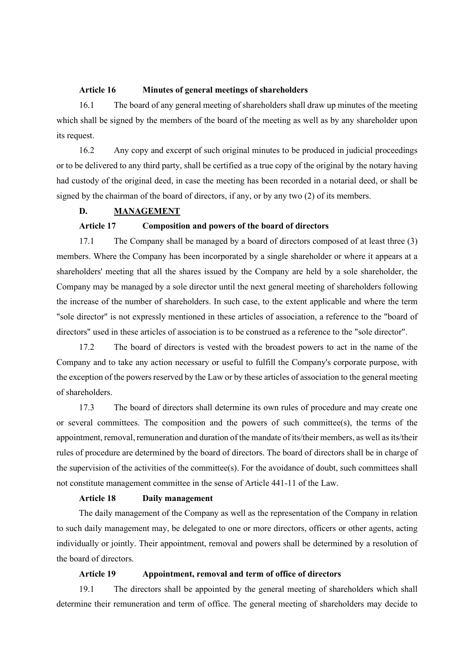#### **Article 16 Minutes of general meetings of shareholders**

16.1 The board of any general meeting of shareholders shall draw up minutes of the meeting which shall be signed by the members of the board of the meeting as well as by any shareholder upon its request.

16.2 Any copy and excerpt of such original minutes to be produced in judicial proceedings or to be delivered to any third party, shall be certified as a true copy of the original by the notary having had custody of the original deed, in case the meeting has been recorded in a notarial deed, or shall be signed by the chairman of the board of directors, if any, or by any two (2) of its members.

# **D. MANAGEMENT**

# **Article 17 Composition and powers of the board of directors**

17.1 The Company shall be managed by a board of directors composed of at least three (3) members. Where the Company has been incorporated by a single shareholder or where it appears at a shareholders' meeting that all the shares issued by the Company are held by a sole shareholder, the Company may be managed by a sole director until the next general meeting of shareholders following the increase of the number of shareholders. In such case, to the extent applicable and where the term "sole director" is not expressly mentioned in these articles of association, a reference to the "board of directors" used in these articles of association is to be construed as a reference to the "sole director".

17.2 The board of directors is vested with the broadest powers to act in the name of the Company and to take any action necessary or useful to fulfill the Company's corporate purpose, with the exception of the powers reserved by the Law or by these articles of association to the general meeting of shareholders.

17.3 The board of directors shall determine its own rules of procedure and may create one or several committees. The composition and the powers of such committee(s), the terms of the appointment, removal, remuneration and duration of the mandate of its/their members, as well as its/their rules of procedure are determined by the board of directors. The board of directors shall be in charge of the supervision of the activities of the committee(s). For the avoidance of doubt, such committees shall not constitute management committee in the sense of Article 441-11 of the Law.

### **Article 18 Daily management**

The daily management of the Company as well as the representation of the Company in relation to such daily management may, be delegated to one or more directors, officers or other agents, acting individually or jointly. Their appointment, removal and powers shall be determined by a resolution of the board of directors.

# **Article 19 Appointment, removal and term of office of directors**

19.1 The directors shall be appointed by the general meeting of shareholders which shall determine their remuneration and term of office. The general meeting of shareholders may decide to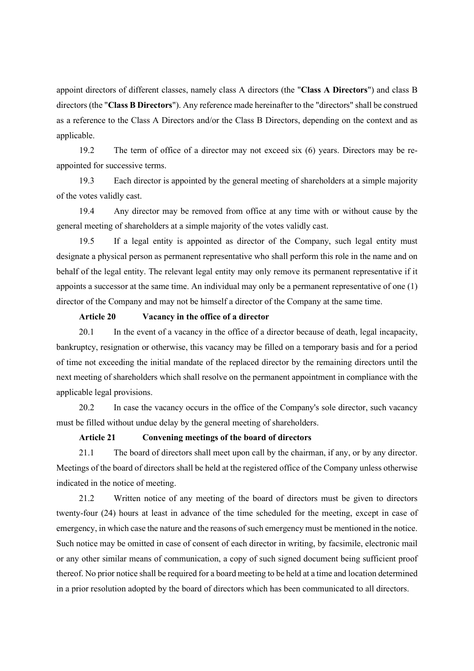appoint directors of different classes, namely class A directors (the "**Class A Directors**") and class B directors (the "**Class B Directors**"). Any reference made hereinafter to the "directors" shall be construed as a reference to the Class A Directors and/or the Class B Directors, depending on the context and as applicable.

19.2 The term of office of a director may not exceed six (6) years. Directors may be reappointed for successive terms.

19.3 Each director is appointed by the general meeting of shareholders at a simple majority of the votes validly cast.

19.4 Any director may be removed from office at any time with or without cause by the general meeting of shareholders at a simple majority of the votes validly cast.

19.5 If a legal entity is appointed as director of the Company, such legal entity must designate a physical person as permanent representative who shall perform this role in the name and on behalf of the legal entity. The relevant legal entity may only remove its permanent representative if it appoints a successor at the same time. An individual may only be a permanent representative of one (1) director of the Company and may not be himself a director of the Company at the same time.

#### **Article 20 Vacancy in the office of a director**

20.1 In the event of a vacancy in the office of a director because of death, legal incapacity, bankruptcy, resignation or otherwise, this vacancy may be filled on a temporary basis and for a period of time not exceeding the initial mandate of the replaced director by the remaining directors until the next meeting of shareholders which shall resolve on the permanent appointment in compliance with the applicable legal provisions.

20.2 In case the vacancy occurs in the office of the Company's sole director, such vacancy must be filled without undue delay by the general meeting of shareholders.

## **Article 21 Convening meetings of the board of directors**

21.1 The board of directors shall meet upon call by the chairman, if any, or by any director. Meetings of the board of directors shall be held at the registered office of the Company unless otherwise indicated in the notice of meeting.

21.2 Written notice of any meeting of the board of directors must be given to directors twenty-four (24) hours at least in advance of the time scheduled for the meeting, except in case of emergency, in which case the nature and the reasons of such emergency must be mentioned in the notice. Such notice may be omitted in case of consent of each director in writing, by facsimile, electronic mail or any other similar means of communication, a copy of such signed document being sufficient proof thereof. No prior notice shall be required for a board meeting to be held at a time and location determined in a prior resolution adopted by the board of directors which has been communicated to all directors.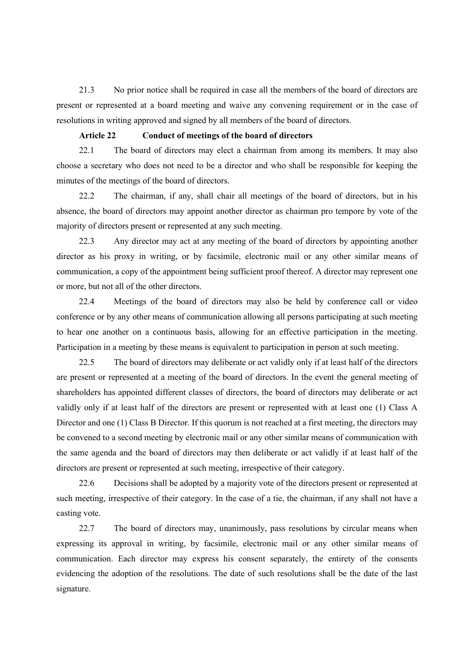21.3 No prior notice shall be required in case all the members of the board of directors are present or represented at a board meeting and waive any convening requirement or in the case of resolutions in writing approved and signed by all members of the board of directors.

### **Article 22 Conduct of meetings of the board of directors**

22.1 The board of directors may elect a chairman from among its members. It may also choose a secretary who does not need to be a director and who shall be responsible for keeping the minutes of the meetings of the board of directors.

22.2 The chairman, if any, shall chair all meetings of the board of directors, but in his absence, the board of directors may appoint another director as chairman pro tempore by vote of the majority of directors present or represented at any such meeting.

22.3 Any director may act at any meeting of the board of directors by appointing another director as his proxy in writing, or by facsimile, electronic mail or any other similar means of communication, a copy of the appointment being sufficient proof thereof. A director may represent one or more, but not all of the other directors.

22.4 Meetings of the board of directors may also be held by conference call or video conference or by any other means of communication allowing all persons participating at such meeting to hear one another on a continuous basis, allowing for an effective participation in the meeting. Participation in a meeting by these means is equivalent to participation in person at such meeting.

22.5 The board of directors may deliberate or act validly only if at least half of the directors are present or represented at a meeting of the board of directors. In the event the general meeting of shareholders has appointed different classes of directors, the board of directors may deliberate or act validly only if at least half of the directors are present or represented with at least one (1) Class A Director and one (1) Class B Director. If this quorum is not reached at a first meeting, the directors may be convened to a second meeting by electronic mail or any other similar means of communication with the same agenda and the board of directors may then deliberate or act validly if at least half of the directors are present or represented at such meeting, irrespective of their category.

22.6 Decisions shall be adopted by a majority vote of the directors present or represented at such meeting, irrespective of their category. In the case of a tie, the chairman, if any shall not have a casting vote.

22.7 The board of directors may, unanimously, pass resolutions by circular means when expressing its approval in writing, by facsimile, electronic mail or any other similar means of communication. Each director may express his consent separately, the entirety of the consents evidencing the adoption of the resolutions. The date of such resolutions shall be the date of the last signature.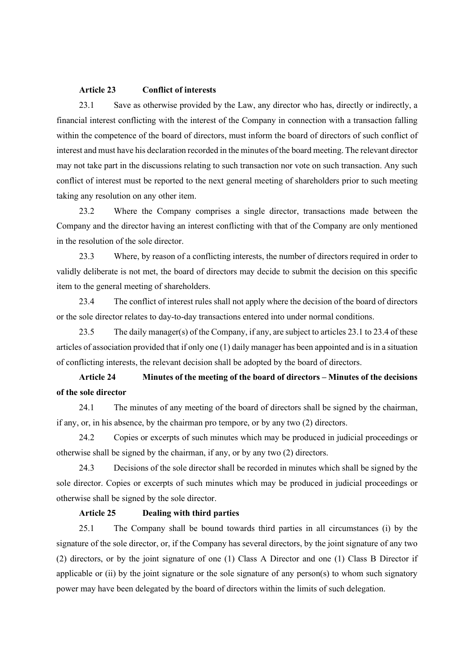# **Article 23 Conflict of interests**

23.1 Save as otherwise provided by the Law, any director who has, directly or indirectly, a financial interest conflicting with the interest of the Company in connection with a transaction falling within the competence of the board of directors, must inform the board of directors of such conflict of interest and must have his declaration recorded in the minutes of the board meeting. The relevant director may not take part in the discussions relating to such transaction nor vote on such transaction. Any such conflict of interest must be reported to the next general meeting of shareholders prior to such meeting taking any resolution on any other item.

23.2 Where the Company comprises a single director, transactions made between the Company and the director having an interest conflicting with that of the Company are only mentioned in the resolution of the sole director.

23.3 Where, by reason of a conflicting interests, the number of directors required in order to validly deliberate is not met, the board of directors may decide to submit the decision on this specific item to the general meeting of shareholders.

23.4 The conflict of interest rules shall not apply where the decision of the board of directors or the sole director relates to day-to-day transactions entered into under normal conditions.

23.5 The daily manager(s) of the Company, if any, are subject to articles 23.1 to 23.4 of these articles of association provided that if only one (1) daily manager has been appointed and is in a situation of conflicting interests, the relevant decision shall be adopted by the board of directors.

# **Article 24 Minutes of the meeting of the board of directors – Minutes of the decisions of the sole director**

24.1 The minutes of any meeting of the board of directors shall be signed by the chairman, if any, or, in his absence, by the chairman pro tempore, or by any two (2) directors.

24.2 Copies or excerpts of such minutes which may be produced in judicial proceedings or otherwise shall be signed by the chairman, if any, or by any two (2) directors.

24.3 Decisions of the sole director shall be recorded in minutes which shall be signed by the sole director. Copies or excerpts of such minutes which may be produced in judicial proceedings or otherwise shall be signed by the sole director.

# **Article 25 Dealing with third parties**

25.1 The Company shall be bound towards third parties in all circumstances (i) by the signature of the sole director, or, if the Company has several directors, by the joint signature of any two (2) directors, or by the joint signature of one (1) Class A Director and one (1) Class B Director if applicable or (ii) by the joint signature or the sole signature of any person(s) to whom such signatory power may have been delegated by the board of directors within the limits of such delegation.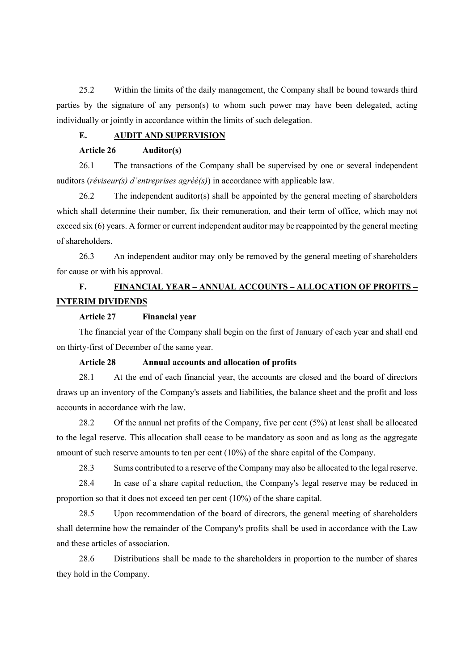25.2 Within the limits of the daily management, the Company shall be bound towards third parties by the signature of any person(s) to whom such power may have been delegated, acting individually or jointly in accordance within the limits of such delegation.

# **E. AUDIT AND SUPERVISION**

# **Article 26 Auditor(s)**

26.1 The transactions of the Company shall be supervised by one or several independent auditors (*réviseur(s) d'entreprises agréé(s)*) in accordance with applicable law.

26.2 The independent auditor(s) shall be appointed by the general meeting of shareholders which shall determine their number, fix their remuneration, and their term of office, which may not exceed six (6) years. A former or current independent auditor may be reappointed by the general meeting of shareholders.

26.3 An independent auditor may only be removed by the general meeting of shareholders for cause or with his approval.

# **F. FINANCIAL YEAR – ANNUAL ACCOUNTS – ALLOCATION OF PROFITS – INTERIM DIVIDENDS**

#### **Article 27 Financial year**

The financial year of the Company shall begin on the first of January of each year and shall end on thirty-first of December of the same year.

## **Article 28 Annual accounts and allocation of profits**

28.1 At the end of each financial year, the accounts are closed and the board of directors draws up an inventory of the Company's assets and liabilities, the balance sheet and the profit and loss accounts in accordance with the law.

28.2 Of the annual net profits of the Company, five per cent (5%) at least shall be allocated to the legal reserve. This allocation shall cease to be mandatory as soon and as long as the aggregate amount of such reserve amounts to ten per cent (10%) of the share capital of the Company.

28.3 Sums contributed to a reserve of the Company may also be allocated to the legal reserve.

28.4 In case of a share capital reduction, the Company's legal reserve may be reduced in proportion so that it does not exceed ten per cent (10%) of the share capital.

28.5 Upon recommendation of the board of directors, the general meeting of shareholders shall determine how the remainder of the Company's profits shall be used in accordance with the Law and these articles of association.

28.6 Distributions shall be made to the shareholders in proportion to the number of shares they hold in the Company.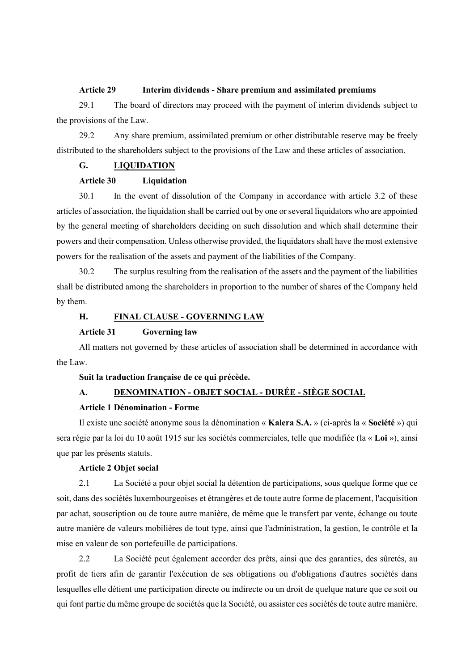#### **Article 29 Interim dividends - Share premium and assimilated premiums**

29.1 The board of directors may proceed with the payment of interim dividends subject to the provisions of the Law.

29.2 Any share premium, assimilated premium or other distributable reserve may be freely distributed to the shareholders subject to the provisions of the Law and these articles of association.

## **G. LIQUIDATION**

# **Article 30 Liquidation**

30.1 In the event of dissolution of the Company in accordance with article [3.2](#page-0-0) of these articles of association, the liquidation shall be carried out by one or several liquidators who are appointed by the general meeting of shareholders deciding on such dissolution and which shall determine their powers and their compensation. Unless otherwise provided, the liquidators shall have the most extensive powers for the realisation of the assets and payment of the liabilities of the Company.

30.2 The surplus resulting from the realisation of the assets and the payment of the liabilities shall be distributed among the shareholders in proportion to the number of shares of the Company held by them.

# **H. FINAL CLAUSE - GOVERNING LAW**

## **Article 31 Governing law**

All matters not governed by these articles of association shall be determined in accordance with the Law.

#### **Suit la traduction française de ce qui précède.**

# **A. DENOMINATION - OBJET SOCIAL - DURÉE - SIÈGE SOCIAL**

# **Article 1 Dénomination - Forme**

Il existe une société anonyme sous la dénomination « **Kalera S.A.** » (ci-après la « **Société** ») qui sera régie par la loi du 10 août 1915 sur les sociétés commerciales, telle que modifiée (la « **Loi** »), ainsi que par les présents statuts.

## **Article 2 Objet social**

2.1 La Société a pour objet social la détention de participations, sous quelque forme que ce soit, dans des sociétés luxembourgeoises et étrangères et de toute autre forme de placement, l'acquisition par achat, souscription ou de toute autre manière, de même que le transfert par vente, échange ou toute autre manière de valeurs mobilières de tout type, ainsi que l'administration, la gestion, le contrôle et la mise en valeur de son portefeuille de participations.

2.2 La Société peut également accorder des prêts, ainsi que des garanties, des sûretés, au profit de tiers afin de garantir l'exécution de ses obligations ou d'obligations d'autres sociétés dans lesquelles elle détient une participation directe ou indirecte ou un droit de quelque nature que ce soit ou qui font partie du même groupe de sociétés que la Société, ou assister ces sociétés de toute autre manière.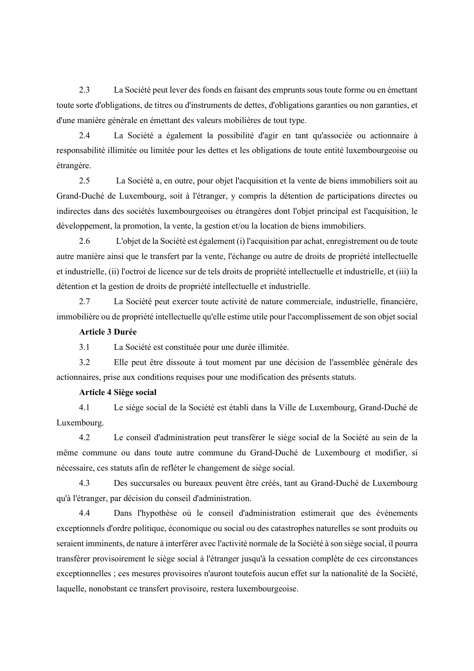2.3 La Société peut lever des fonds en faisant des emprunts sous toute forme ou en émettant toute sorte d'obligations, de titres ou d'instruments de dettes, d'obligations garanties ou non garanties, et d'une manière générale en émettant des valeurs mobilières de tout type.

2.4 La Société a également la possibilité d'agir en tant qu'associée ou actionnaire à responsabilité illimitée ou limitée pour les dettes et les obligations de toute entité luxembourgeoise ou étrangère.

2.5 La Société a, en outre, pour objet l'acquisition et la vente de biens immobiliers soit au Grand-Duché de Luxembourg, soit à l'étranger, y compris la détention de participations directes ou indirectes dans des sociétés luxembourgeoises ou étrangères dont l'objet principal est l'acquisition, le développement, la promotion, la vente, la gestion et/ou la location de biens immobiliers.

2.6 L'objet de la Société est également (i) l'acquisition par achat, enregistrement ou de toute autre manière ainsi que le transfert par la vente, l'échange ou autre de droits de propriété intellectuelle et industrielle, (ii) l'octroi de licence sur de tels droits de propriété intellectuelle et industrielle, et (iii) la détention et la gestion de droits de propriété intellectuelle et industrielle.

2.7 La Société peut exercer toute activité de nature commerciale, industrielle, financière, immobilière ou de propriété intellectuelle qu'elle estime utile pour l'accomplissement de son objet social

### **Article 3 Durée**

3.1 La Société est constituée pour une durée illimitée.

3.2 Elle peut être dissoute à tout moment par une décision de l'assemblée générale des actionnaires, prise aux conditions requises pour une modification des présents statuts.

### **Article 4 Siège social**

4.1 Le siège social de la Société est établi dans la Ville de Luxembourg, Grand-Duché de Luxembourg.

4.2 Le conseil d'administration peut transférer le siège social de la Société au sein de la même commune ou dans toute autre commune du Grand-Duché de Luxembourg et modifier, si nécessaire, ces statuts afin de refléter le changement de siège social.

4.3 Des succursales ou bureaux peuvent être créés, tant au Grand-Duché de Luxembourg qu'à l'étranger, par décision du conseil d'administration.

4.4 Dans l'hypothèse où le conseil d'administration estimerait que des événements exceptionnels d'ordre politique, économique ou social ou des catastrophes naturelles se sont produits ou seraient imminents, de nature à interférer avec l'activité normale de la Société à son siège social, il pourra transférer provisoirement le siège social à l'étranger jusqu'à la cessation complète de ces circonstances exceptionnelles ; ces mesures provisoires n'auront toutefois aucun effet sur la nationalité de la Société, laquelle, nonobstant ce transfert provisoire, restera luxembourgeoise.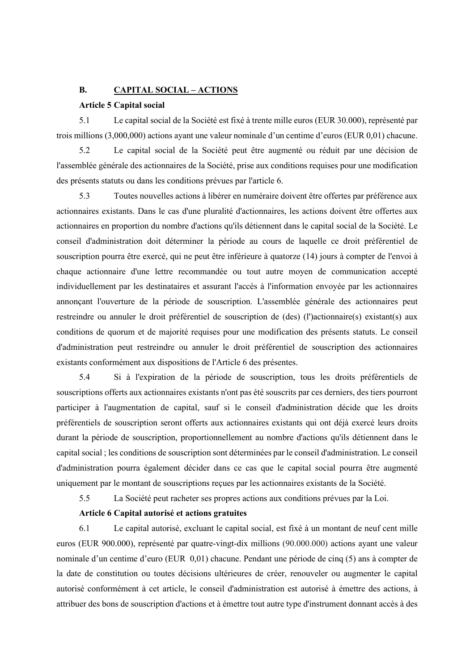## **B. CAPITAL SOCIAL – ACTIONS**

### **Article 5 Capital social**

5.1 Le capital social de la Société est fixé à trente mille euros (EUR 30.000), représenté par trois millions (3,000,000) actions ayant une valeur nominale d'un centime d'euros (EUR 0,01) chacune.

5.2 Le capital social de la Société peut être augmenté ou réduit par une décision de l'assemblée générale des actionnaires de la Société, prise aux conditions requises pour une modification des présents statuts ou dans les conditions prévues par l'article 6.

5.3 Toutes nouvelles actions à libérer en numéraire doivent être offertes par préférence aux actionnaires existants. Dans le cas d'une pluralité d'actionnaires, les actions doivent être offertes aux actionnaires en proportion du nombre d'actions qu'ils détiennent dans le capital social de la Société. Le conseil d'administration doit déterminer la période au cours de laquelle ce droit préférentiel de souscription pourra être exercé, qui ne peut être inférieure à quatorze (14) jours à compter de l'envoi à chaque actionnaire d'une lettre recommandée ou tout autre moyen de communication accepté individuellement par les destinataires et assurant l'accès à l'information envoyée par les actionnaires annonçant l'ouverture de la période de souscription. L'assemblée générale des actionnaires peut restreindre ou annuler le droit préférentiel de souscription de (des) (l')actionnaire(s) existant(s) aux conditions de quorum et de majorité requises pour une modification des présents statuts. Le conseil d'administration peut restreindre ou annuler le droit préférentiel de souscription des actionnaires existants conformément aux dispositions de l'Article 6 des présentes.

5.4 Si à l'expiration de la période de souscription, tous les droits préférentiels de souscriptions offerts aux actionnaires existants n'ont pas été souscrits par ces derniers, des tiers pourront participer à l'augmentation de capital, sauf si le conseil d'administration décide que les droits préférentiels de souscription seront offerts aux actionnaires existants qui ont déjà exercé leurs droits durant la période de souscription, proportionnellement au nombre d'actions qu'ils détiennent dans le capital social ; les conditions de souscription sont déterminées par le conseil d'administration. Le conseil d'administration pourra également décider dans ce cas que le capital social pourra être augmenté uniquement par le montant de souscriptions reçues par les actionnaires existants de la Société.

5.5 La Société peut racheter ses propres actions aux conditions prévues par la Loi.

# **Article 6 Capital autorisé et actions gratuites**

6.1 Le capital autorisé, excluant le capital social, est fixé à un montant de neuf cent mille euros (EUR 900.000), représenté par quatre-vingt-dix millions (90.000.000) actions ayant une valeur nominale d'un centime d'euro (EUR 0,01) chacune. Pendant une période de cinq (5) ans à compter de la date de constitution ou toutes décisions ultérieures de créer, renouveler ou augmenter le capital autorisé conformément à cet article, le conseil d'administration est autorisé à émettre des actions, à attribuer des bons de souscription d'actions et à émettre tout autre type d'instrument donnant accès à des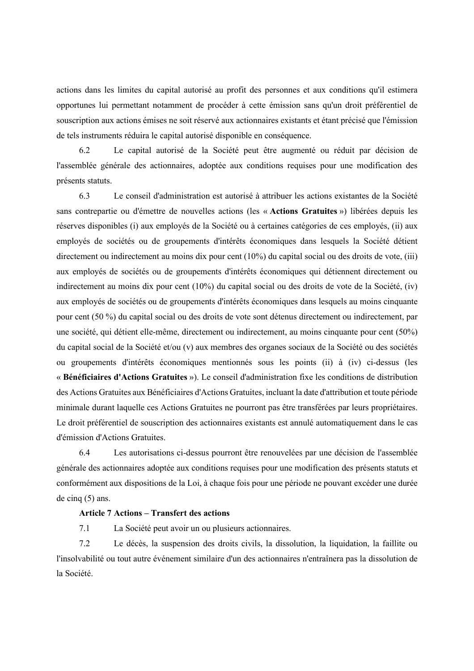actions dans les limites du capital autorisé au profit des personnes et aux conditions qu'il estimera opportunes lui permettant notamment de procéder à cette émission sans qu'un droit préférentiel de souscription aux actions émises ne soit réservé aux actionnaires existants et étant précisé que l'émission de tels instruments réduira le capital autorisé disponible en conséquence.

6.2 Le capital autorisé de la Société peut être augmenté ou réduit par décision de l'assemblée générale des actionnaires, adoptée aux conditions requises pour une modification des présents statuts.

6.3 Le conseil d'administration est autorisé à attribuer les actions existantes de la Société sans contrepartie ou d'émettre de nouvelles actions (les « **Actions Gratuites** ») libérées depuis les réserves disponibles (i) aux employés de la Société ou à certaines catégories de ces employés, (ii) aux employés de sociétés ou de groupements d'intérêts économiques dans lesquels la Société détient directement ou indirectement au moins dix pour cent (10%) du capital social ou des droits de vote, (iii) aux employés de sociétés ou de groupements d'intérêts économiques qui détiennent directement ou indirectement au moins dix pour cent (10%) du capital social ou des droits de vote de la Société, (iv) aux employés de sociétés ou de groupements d'intérêts économiques dans lesquels au moins cinquante pour cent (50 %) du capital social ou des droits de vote sont détenus directement ou indirectement, par une société, qui détient elle-même, directement ou indirectement, au moins cinquante pour cent (50%) du capital social de la Société et/ou (v) aux membres des organes sociaux de la Société ou des sociétés ou groupements d'intérêts économiques mentionnés sous les points (ii) à (iv) ci-dessus (les « **Bénéficiaires d'Actions Gratuites** »). Le conseil d'administration fixe les conditions de distribution des Actions Gratuites aux Bénéficiaires d'Actions Gratuites, incluant la date d'attribution et toute période minimale durant laquelle ces Actions Gratuites ne pourront pas être transférées par leurs propriétaires. Le droit préférentiel de souscription des actionnaires existants est annulé automatiquement dans le cas d'émission d'Actions Gratuites.

6.4 Les autorisations ci-dessus pourront être renouvelées par une décision de l'assemblée générale des actionnaires adoptée aux conditions requises pour une modification des présents statuts et conformément aux dispositions de la Loi, à chaque fois pour une période ne pouvant excéder une durée de cinq (5) ans.

## **Article 7 Actions – Transfert des actions**

7.1 La Société peut avoir un ou plusieurs actionnaires.

7.2 Le décès, la suspension des droits civils, la dissolution, la liquidation, la faillite ou l'insolvabilité ou tout autre événement similaire d'un des actionnaires n'entraînera pas la dissolution de la Société.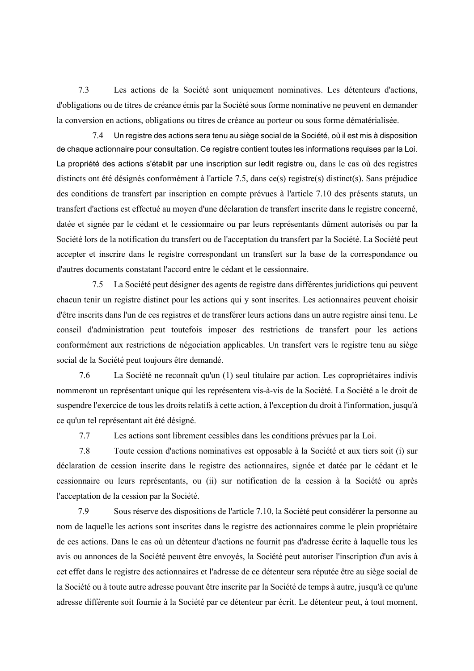7.3 Les actions de la Société sont uniquement nominatives. Les détenteurs d'actions, d'obligations ou de titres de créance émis par la Société sous forme nominative ne peuvent en demander la conversion en actions, obligations ou titres de créance au porteur ou sous forme dématérialisée.

7.4 Un registre des actions sera tenu au siège social de la Société, où il est mis à disposition de chaque actionnaire pour consultation. Ce registre contient toutes les informations requises par la Loi. La propriété des actions s'établit par une inscription sur ledit registre ou, dans le cas où des registres distincts ont été désignés conformément à l'article [7.5,](#page-17-0) dans ce(s) registre(s) distinct(s). Sans préjudice des conditions de transfert par inscription en compte prévues à l'article [7.10](#page-18-0) des présents statuts, un transfert d'actions est effectué au moyen d'une déclaration de transfert inscrite dans le registre concerné, datée et signée par le cédant et le cessionnaire ou par leurs représentants dûment autorisés ou par la Société lors de la notification du transfert ou de l'acceptation du transfert par la Société. La Société peut accepter et inscrire dans le registre correspondant un transfert sur la base de la correspondance ou d'autres documents constatant l'accord entre le cédant et le cessionnaire.

<span id="page-17-0"></span>7.5 La Société peut désigner des agents de registre dans différentes juridictions qui peuvent chacun tenir un registre distinct pour les actions qui y sont inscrites. Les actionnaires peuvent choisir d'être inscrits dans l'un de ces registres et de transférer leurs actions dans un autre registre ainsi tenu. Le conseil d'administration peut toutefois imposer des restrictions de transfert pour les actions conformément aux restrictions de négociation applicables. Un transfert vers le registre tenu au siège social de la Société peut toujours être demandé.

7.6 La Société ne reconnaît qu'un (1) seul titulaire par action. Les copropriétaires indivis nommeront un représentant unique qui les représentera vis-à-vis de la Société. La Société a le droit de suspendre l'exercice de tous les droits relatifs à cette action, à l'exception du droit à l'information, jusqu'à ce qu'un tel représentant ait été désigné.

7.7 Les actions sont librement cessibles dans les conditions prévues par la Loi.

7.8 Toute cession d'actions nominatives est opposable à la Société et aux tiers soit (i) sur déclaration de cession inscrite dans le registre des actionnaires, signée et datée par le cédant et le cessionnaire ou leurs représentants, ou (ii) sur notification de la cession à la Société ou après l'acceptation de la cession par la Société.

7.9 Sous réserve des dispositions de l'article [7.10,](#page-18-0) la Société peut considérer la personne au nom de laquelle les actions sont inscrites dans le registre des actionnaires comme le plein propriétaire de ces actions. Dans le cas où un détenteur d'actions ne fournit pas d'adresse écrite à laquelle tous les avis ou annonces de la Société peuvent être envoyés, la Société peut autoriser l'inscription d'un avis à cet effet dans le registre des actionnaires et l'adresse de ce détenteur sera réputée être au siège social de la Société ou à toute autre adresse pouvant être inscrite par la Société de temps à autre, jusqu'à ce qu'une adresse différente soit fournie à la Société par ce détenteur par écrit. Le détenteur peut, à tout moment,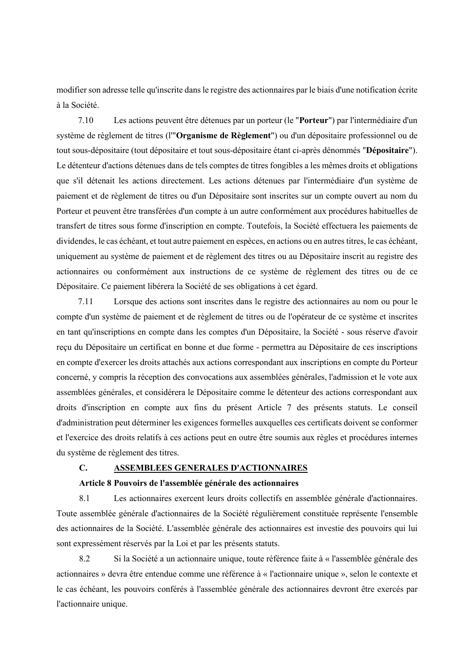modifier son adresse telle qu'inscrite dans le registre des actionnaires par le biais d'une notification écrite à la Société.

<span id="page-18-0"></span>7.10 Les actions peuvent être détenues par un porteur (le "**Porteur**") par l'intermédiaire d'un système de règlement de titres (l'"**Organisme de Règlement**") ou d'un dépositaire professionnel ou de tout sous-dépositaire (tout dépositaire et tout sous-dépositaire étant ci-après dénommés "**Dépositaire**"). Le détenteur d'actions détenues dans de tels comptes de titres fongibles a les mêmes droits et obligations que s'il détenait les actions directement. Les actions détenues par l'intermédiaire d'un système de paiement et de règlement de titres ou d'un Dépositaire sont inscrites sur un compte ouvert au nom du Porteur et peuvent être transférées d'un compte à un autre conformément aux procédures habituelles de transfert de titres sous forme d'inscription en compte. Toutefois, la Société effectuera les paiements de dividendes, le cas échéant, et tout autre paiement en espèces, en actions ou en autres titres, le cas échéant, uniquement au système de paiement et de règlement des titres ou au Dépositaire inscrit au registre des actionnaires ou conformément aux instructions de ce système de règlement des titres ou de ce Dépositaire. Ce paiement libérera la Société de ses obligations à cet égard.

7.11 Lorsque des actions sont inscrites dans le registre des actionnaires au nom ou pour le compte d'un système de paiement et de règlement de titres ou de l'opérateur de ce système et inscrites en tant qu'inscriptions en compte dans les comptes d'un Dépositaire, la Société - sous réserve d'avoir reçu du Dépositaire un certificat en bonne et due forme - permettra au Dépositaire de ces inscriptions en compte d'exercer les droits attachés aux actions correspondant aux inscriptions en compte du Porteur concerné, y compris la réception des convocations aux assemblées générales, l'admission et le vote aux assemblées générales, et considérera le Dépositaire comme le détenteur des actions correspondant aux droits d'inscription en compte aux fins du présent Article 7 des présents statuts. Le conseil d'administration peut déterminer les exigences formelles auxquelles ces certificats doivent se conformer et l'exercice des droits relatifs à ces actions peut en outre être soumis aux règles et procédures internes du système de règlement des titres.

# **C. ASSEMBLEES GENERALES D'ACTIONNAIRES**

#### **Article 8 Pouvoirs de l'assemblée générale des actionnaires**

8.1 Les actionnaires exercent leurs droits collectifs en assemblée générale d'actionnaires. Toute assemblée générale d'actionnaires de la Société régulièrement constituée représente l'ensemble des actionnaires de la Société. L'assemblée générale des actionnaires est investie des pouvoirs qui lui sont expressément réservés par la Loi et par les présents statuts.

8.2 Si la Société a un actionnaire unique, toute référence faite à « l'assemblée générale des actionnaires » devra être entendue comme une référence à « l'actionnaire unique », selon le contexte et le cas échéant, les pouvoirs conférés à l'assemblée générale des actionnaires devront être exercés par l'actionnaire unique.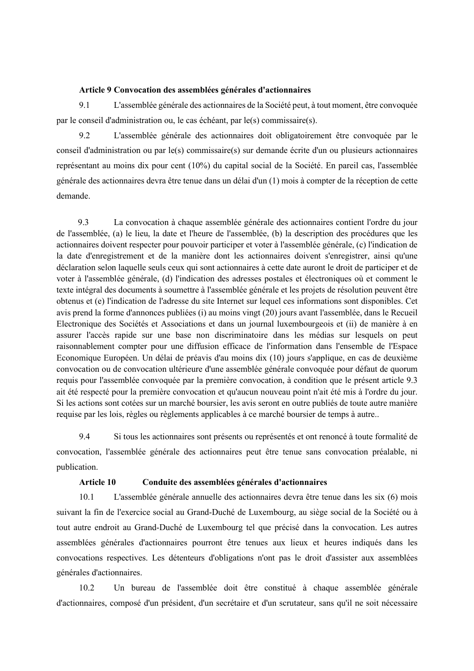#### **Article 9 Convocation des assemblées générales d'actionnaires**

9.1 L'assemblée générale des actionnaires de la Société peut, à tout moment, être convoquée par le conseil d'administration ou, le cas échéant, par le(s) commissaire(s).

9.2 L'assemblée générale des actionnaires doit obligatoirement être convoquée par le conseil d'administration ou par le(s) commissaire(s) sur demande écrite d'un ou plusieurs actionnaires représentant au moins dix pour cent (10%) du capital social de la Société. En pareil cas, l'assemblée générale des actionnaires devra être tenue dans un délai d'un (1) mois à compter de la réception de cette demande.

<span id="page-19-0"></span>9.3 La convocation à chaque assemblée générale des actionnaires contient l'ordre du jour de l'assemblée, (a) le lieu, la date et l'heure de l'assemblée, (b) la description des procédures que les actionnaires doivent respecter pour pouvoir participer et voter à l'assemblée générale, (c) l'indication de la date d'enregistrement et de la manière dont les actionnaires doivent s'enregistrer, ainsi qu'une déclaration selon laquelle seuls ceux qui sont actionnaires à cette date auront le droit de participer et de voter à l'assemblée générale, (d) l'indication des adresses postales et électroniques où et comment le texte intégral des documents à soumettre à l'assemblée générale et les projets de résolution peuvent être obtenus et (e) l'indication de l'adresse du site Internet sur lequel ces informations sont disponibles. Cet avis prend la forme d'annonces publiées (i) au moins vingt (20) jours avant l'assemblée, dans le Recueil Electronique des Sociétés et Associations et dans un journal luxembourgeois et (ii) de manière à en assurer l'accès rapide sur une base non discriminatoire dans les médias sur lesquels on peut raisonnablement compter pour une diffusion efficace de l'information dans l'ensemble de l'Espace Economique Européen. Un délai de préavis d'au moins dix (10) jours s'applique, en cas de deuxième convocation ou de convocation ultérieure d'une assemblée générale convoquée pour défaut de quorum requis pour l'assemblée convoquée par la première convocation, à condition que le présent article [9.3](#page-19-0) ait été respecté pour la première convocation et qu'aucun nouveau point n'ait été mis à l'ordre du jour. Si les actions sont cotées sur un marché boursier, les avis seront en outre publiés de toute autre manière requise par les lois, règles ou règlements applicables à ce marché boursier de temps à autre..

9.4 Si tous les actionnaires sont présents ou représentés et ont renoncé à toute formalité de convocation, l'assemblée générale des actionnaires peut être tenue sans convocation préalable, ni publication.

#### **Article 10 Conduite des assemblées générales d'actionnaires**

10.1 L'assemblée générale annuelle des actionnaires devra être tenue dans les six (6) mois suivant la fin de l'exercice social au Grand-Duché de Luxembourg, au siège social de la Société ou à tout autre endroit au Grand-Duché de Luxembourg tel que précisé dans la convocation. Les autres assemblées générales d'actionnaires pourront être tenues aux lieux et heures indiqués dans les convocations respectives. Les détenteurs d'obligations n'ont pas le droit d'assister aux assemblées générales d'actionnaires.

10.2 Un bureau de l'assemblée doit être constitué à chaque assemblée générale d'actionnaires, composé d'un président, d'un secrétaire et d'un scrutateur, sans qu'il ne soit nécessaire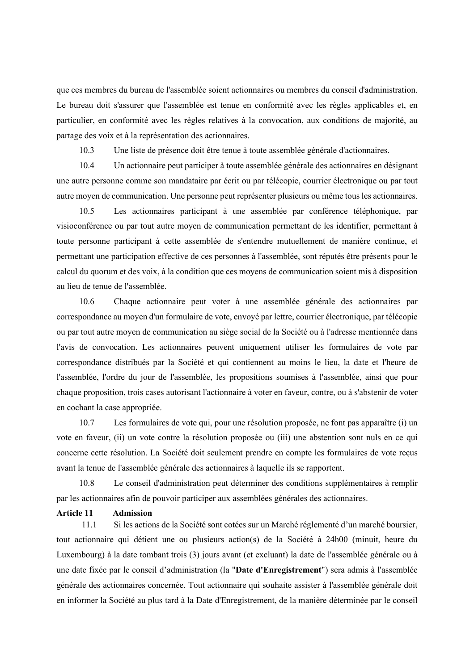que ces membres du bureau de l'assemblée soient actionnaires ou membres du conseil d'administration. Le bureau doit s'assurer que l'assemblée est tenue en conformité avec les règles applicables et, en particulier, en conformité avec les règles relatives à la convocation, aux conditions de majorité, au partage des voix et à la représentation des actionnaires.

10.3 Une liste de présence doit être tenue à toute assemblée générale d'actionnaires.

10.4 Un actionnaire peut participer à toute assemblée générale des actionnaires en désignant une autre personne comme son mandataire par écrit ou par télécopie, courrier électronique ou par tout autre moyen de communication. Une personne peut représenter plusieurs ou même tous les actionnaires.

10.5 Les actionnaires participant à une assemblée par conférence téléphonique, par visioconférence ou par tout autre moyen de communication permettant de les identifier, permettant à toute personne participant à cette assemblée de s'entendre mutuellement de manière continue, et permettant une participation effective de ces personnes à l'assemblée, sont réputés être présents pour le calcul du quorum et des voix, à la condition que ces moyens de communication soient mis à disposition au lieu de tenue de l'assemblée.

10.6 Chaque actionnaire peut voter à une assemblée générale des actionnaires par correspondance au moyen d'un formulaire de vote, envoyé par lettre, courrier électronique, par télécopie ou par tout autre moyen de communication au siège social de la Société ou à l'adresse mentionnée dans l'avis de convocation. Les actionnaires peuvent uniquement utiliser les formulaires de vote par correspondance distribués par la Société et qui contiennent au moins le lieu, la date et l'heure de l'assemblée, l'ordre du jour de l'assemblée, les propositions soumises à l'assemblée, ainsi que pour chaque proposition, trois cases autorisant l'actionnaire à voter en faveur, contre, ou à s'abstenir de voter en cochant la case appropriée.

10.7 Les formulaires de vote qui, pour une résolution proposée, ne font pas apparaître (i) un vote en faveur, (ii) un vote contre la résolution proposée ou (iii) une abstention sont nuls en ce qui concerne cette résolution. La Société doit seulement prendre en compte les formulaires de vote reçus avant la tenue de l'assemblée générale des actionnaires à laquelle ils se rapportent.

10.8 Le conseil d'administration peut déterminer des conditions supplémentaires à remplir par les actionnaires afin de pouvoir participer aux assemblées générales des actionnaires.

#### **Article 11 Admission**

11.1 Si les actions de la Société sont cotées sur un Marché réglementé d'un marché boursier, tout actionnaire qui détient une ou plusieurs action(s) de la Société à 24h00 (minuit, heure du Luxembourg) à la date tombant trois (3) jours avant (et excluant) la date de l'assemblée générale ou à une date fixée par le conseil d'administration (la "**Date d'Enregistrement**") sera admis à l'assemblée générale des actionnaires concernée. Tout actionnaire qui souhaite assister à l'assemblée générale doit en informer la Société au plus tard à la Date d'Enregistrement, de la manière déterminée par le conseil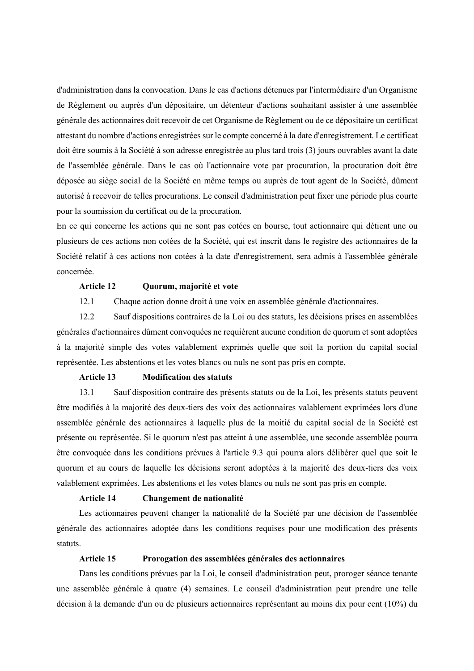d'administration dans la convocation. Dans le cas d'actions détenues par l'intermédiaire d'un Organisme de Règlement ou auprès d'un dépositaire, un détenteur d'actions souhaitant assister à une assemblée générale des actionnaires doit recevoir de cet Organisme de Règlement ou de ce dépositaire un certificat attestant du nombre d'actions enregistrées sur le compte concerné à la date d'enregistrement. Le certificat doit être soumis à la Société à son adresse enregistrée au plus tard trois (3) jours ouvrables avant la date de l'assemblée générale. Dans le cas où l'actionnaire vote par procuration, la procuration doit être déposée au siège social de la Société en même temps ou auprès de tout agent de la Société, dûment autorisé à recevoir de telles procurations. Le conseil d'administration peut fixer une période plus courte pour la soumission du certificat ou de la procuration.

En ce qui concerne les actions qui ne sont pas cotées en bourse, tout actionnaire qui détient une ou plusieurs de ces actions non cotées de la Société, qui est inscrit dans le registre des actionnaires de la Société relatif à ces actions non cotées à la date d'enregistrement, sera admis à l'assemblée générale concernée.

#### **Article 12 Quorum, majorité et vote**

12.1 Chaque action donne droit à une voix en assemblée générale d'actionnaires.

12.2 Sauf dispositions contraires de la Loi ou des statuts, les décisions prises en assemblées générales d'actionnaires dûment convoquées ne requièrent aucune condition de quorum et sont adoptées à la majorité simple des votes valablement exprimés quelle que soit la portion du capital social représentée. Les abstentions et les votes blancs ou nuls ne sont pas pris en compte.

#### **Article 13 Modification des statuts**

13.1 Sauf disposition contraire des présents statuts ou de la Loi, les présents statuts peuvent être modifiés à la majorité des deux-tiers des voix des actionnaires valablement exprimées lors d'une assemblée générale des actionnaires à laquelle plus de la moitié du capital social de la Société est présente ou représentée. Si le quorum n'est pas atteint à une assemblée, une seconde assemblée pourra être convoquée dans les conditions prévues à l'article 9.3 qui pourra alors délibérer quel que soit le quorum et au cours de laquelle les décisions seront adoptées à la majorité des deux-tiers des voix valablement exprimées. Les abstentions et les votes blancs ou nuls ne sont pas pris en compte.

#### **Article 14 Changement de nationalité**

Les actionnaires peuvent changer la nationalité de la Société par une décision de l'assemblée générale des actionnaires adoptée dans les conditions requises pour une modification des présents statuts.

# **Article 15 Prorogation des assemblées générales des actionnaires**

Dans les conditions prévues par la Loi, le conseil d'administration peut, proroger séance tenante une assemblée générale à quatre (4) semaines. Le conseil d'administration peut prendre une telle décision à la demande d'un ou de plusieurs actionnaires représentant au moins dix pour cent (10%) du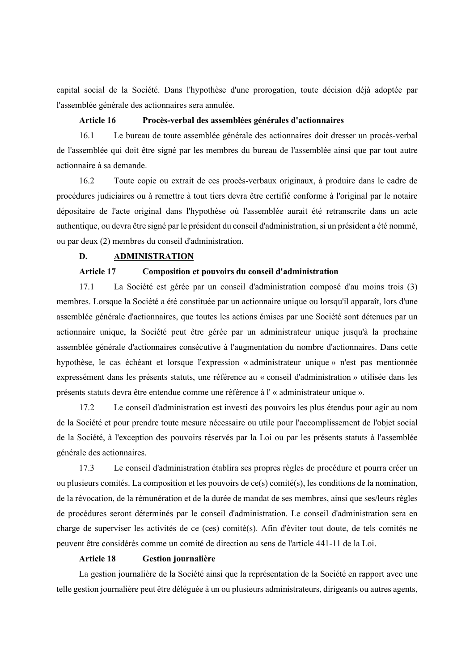capital social de la Société. Dans l'hypothèse d'une prorogation, toute décision déjà adoptée par l'assemblée générale des actionnaires sera annulée.

#### **Article 16 Procès-verbal des assemblées générales d'actionnaires**

16.1 Le bureau de toute assemblée générale des actionnaires doit dresser un procès-verbal de l'assemblée qui doit être signé par les membres du bureau de l'assemblée ainsi que par tout autre actionnaire à sa demande.

16.2 Toute copie ou extrait de ces procès-verbaux originaux, à produire dans le cadre de procédures judiciaires ou à remettre à tout tiers devra être certifié conforme à l'original par le notaire dépositaire de l'acte original dans l'hypothèse où l'assemblée aurait été retranscrite dans un acte authentique, ou devra être signé par le président du conseil d'administration, si un président a été nommé, ou par deux (2) membres du conseil d'administration.

# **D. ADMINISTRATION**

# **Article 17 Composition et pouvoirs du conseil d'administration**

17.1 La Société est gérée par un conseil d'administration composé d'au moins trois (3) membres. Lorsque la Société a été constituée par un actionnaire unique ou lorsqu'il apparaît, lors d'une assemblée générale d'actionnaires, que toutes les actions émises par une Société sont détenues par un actionnaire unique, la Société peut être gérée par un administrateur unique jusqu'à la prochaine assemblée générale d'actionnaires consécutive à l'augmentation du nombre d'actionnaires. Dans cette hypothèse, le cas échéant et lorsque l'expression « administrateur unique » n'est pas mentionnée expressément dans les présents statuts, une référence au « conseil d'administration » utilisée dans les présents statuts devra être entendue comme une référence à l' « administrateur unique ».

17.2 Le conseil d'administration est investi des pouvoirs les plus étendus pour agir au nom de la Société et pour prendre toute mesure nécessaire ou utile pour l'accomplissement de l'objet social de la Société, à l'exception des pouvoirs réservés par la Loi ou par les présents statuts à l'assemblée générale des actionnaires.

17.3 Le conseil d'administration établira ses propres règles de procédure et pourra créer un ou plusieurs comités. La composition et les pouvoirs de ce(s) comité(s), les conditions de la nomination, de la révocation, de la rémunération et de la durée de mandat de ses membres, ainsi que ses/leurs règles de procédures seront déterminés par le conseil d'administration. Le conseil d'administration sera en charge de superviser les activités de ce (ces) comité(s). Afin d'éviter tout doute, de tels comités ne peuvent être considérés comme un comité de direction au sens de l'article 441-11 de la Loi.

## **Article 18 Gestion journalière**

La gestion journalière de la Société ainsi que la représentation de la Société en rapport avec une telle gestion journalière peut être déléguée à un ou plusieurs administrateurs, dirigeants ou autres agents,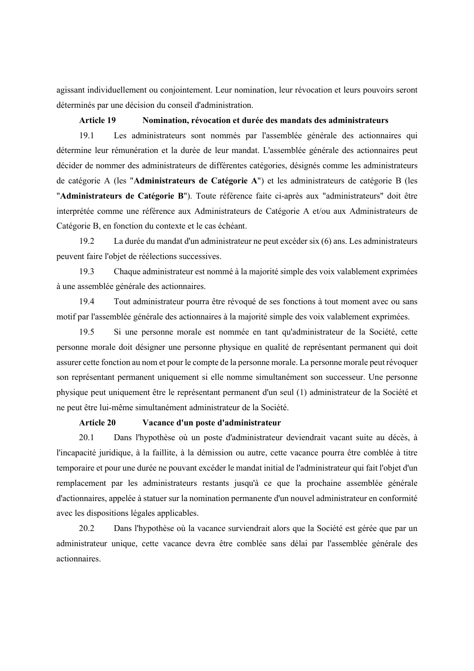agissant individuellement ou conjointement. Leur nomination, leur révocation et leurs pouvoirs seront déterminés par une décision du conseil d'administration.

## **Article 19 Nomination, révocation et durée des mandats des administrateurs**

19.1 Les administrateurs sont nommés par l'assemblée générale des actionnaires qui détermine leur rémunération et la durée de leur mandat. L'assemblée générale des actionnaires peut décider de nommer des administrateurs de différentes catégories, désignés comme les administrateurs de catégorie A (les "**Administrateurs de Catégorie A**") et les administrateurs de catégorie B (les "**Administrateurs de Catégorie B**"). Toute référence faite ci-après aux "administrateurs" doit être interprétée comme une référence aux Administrateurs de Catégorie A et/ou aux Administrateurs de Catégorie B, en fonction du contexte et le cas échéant.

19.2 La durée du mandat d'un administrateur ne peut excéder six (6) ans. Les administrateurs peuvent faire l'objet de réélections successives.

19.3 Chaque administrateur est nommé à la majorité simple des voix valablement exprimées à une assemblée générale des actionnaires.

19.4 Tout administrateur pourra être révoqué de ses fonctions à tout moment avec ou sans motif par l'assemblée générale des actionnaires à la majorité simple des voix valablement exprimées.

19.5 Si une personne morale est nommée en tant qu'administrateur de la Société, cette personne morale doit désigner une personne physique en qualité de représentant permanent qui doit assurer cette fonction au nom et pour le compte de la personne morale. La personne morale peut révoquer son représentant permanent uniquement si elle nomme simultanément son successeur. Une personne physique peut uniquement être le représentant permanent d'un seul (1) administrateur de la Société et ne peut être lui-même simultanément administrateur de la Société.

## **Article 20 Vacance d'un poste d'administrateur**

20.1 Dans l'hypothèse où un poste d'administrateur deviendrait vacant suite au décès, à l'incapacité juridique, à la faillite, à la démission ou autre, cette vacance pourra être comblée à titre temporaire et pour une durée ne pouvant excéder le mandat initial de l'administrateur qui fait l'objet d'un remplacement par les administrateurs restants jusqu'à ce que la prochaine assemblée générale d'actionnaires, appelée à statuer sur la nomination permanente d'un nouvel administrateur en conformité avec les dispositions légales applicables.

20.2 Dans l'hypothèse où la vacance surviendrait alors que la Société est gérée que par un administrateur unique, cette vacance devra être comblée sans délai par l'assemblée générale des actionnaires.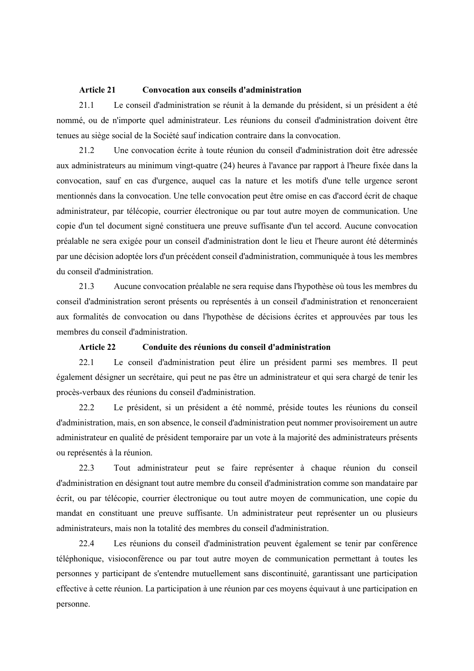#### **Article 21 Convocation aux conseils d'administration**

21.1 Le conseil d'administration se réunit à la demande du président, si un président a été nommé, ou de n'importe quel administrateur. Les réunions du conseil d'administration doivent être tenues au siège social de la Société sauf indication contraire dans la convocation.

21.2 Une convocation écrite à toute réunion du conseil d'administration doit être adressée aux administrateurs au minimum vingt-quatre (24) heures à l'avance par rapport à l'heure fixée dans la convocation, sauf en cas d'urgence, auquel cas la nature et les motifs d'une telle urgence seront mentionnés dans la convocation. Une telle convocation peut être omise en cas d'accord écrit de chaque administrateur, par télécopie, courrier électronique ou par tout autre moyen de communication. Une copie d'un tel document signé constituera une preuve suffisante d'un tel accord. Aucune convocation préalable ne sera exigée pour un conseil d'administration dont le lieu et l'heure auront été déterminés par une décision adoptée lors d'un précédent conseil d'administration, communiquée à tous les membres du conseil d'administration.

21.3 Aucune convocation préalable ne sera requise dans l'hypothèse où tous les membres du conseil d'administration seront présents ou représentés à un conseil d'administration et renonceraient aux formalités de convocation ou dans l'hypothèse de décisions écrites et approuvées par tous les membres du conseil d'administration.

# **Article 22 Conduite des réunions du conseil d'administration**

22.1 Le conseil d'administration peut élire un président parmi ses membres. Il peut également désigner un secrétaire, qui peut ne pas être un administrateur et qui sera chargé de tenir les procès-verbaux des réunions du conseil d'administration.

22.2 Le président, si un président a été nommé, préside toutes les réunions du conseil d'administration, mais, en son absence, le conseil d'administration peut nommer provisoirement un autre administrateur en qualité de président temporaire par un vote à la majorité des administrateurs présents ou représentés à la réunion.

22.3 Tout administrateur peut se faire représenter à chaque réunion du conseil d'administration en désignant tout autre membre du conseil d'administration comme son mandataire par écrit, ou par télécopie, courrier électronique ou tout autre moyen de communication, une copie du mandat en constituant une preuve suffisante. Un administrateur peut représenter un ou plusieurs administrateurs, mais non la totalité des membres du conseil d'administration.

22.4 Les réunions du conseil d'administration peuvent également se tenir par conférence téléphonique, visioconférence ou par tout autre moyen de communication permettant à toutes les personnes y participant de s'entendre mutuellement sans discontinuité, garantissant une participation effective à cette réunion. La participation à une réunion par ces moyens équivaut à une participation en personne.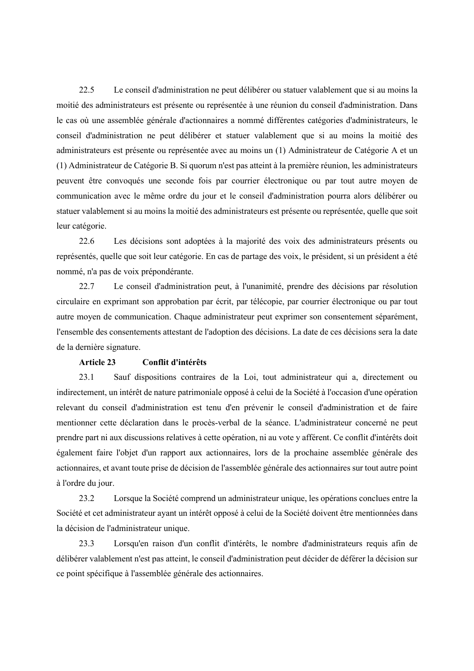22.5 Le conseil d'administration ne peut délibérer ou statuer valablement que si au moins la moitié des administrateurs est présente ou représentée à une réunion du conseil d'administration. Dans le cas où une assemblée générale d'actionnaires a nommé différentes catégories d'administrateurs, le conseil d'administration ne peut délibérer et statuer valablement que si au moins la moitié des administrateurs est présente ou représentée avec au moins un (1) Administrateur de Catégorie A et un (1) Administrateur de Catégorie B. Si quorum n'est pas atteint à la première réunion, les administrateurs peuvent être convoqués une seconde fois par courrier électronique ou par tout autre moyen de communication avec le même ordre du jour et le conseil d'administration pourra alors délibérer ou statuer valablement si au moins la moitié des administrateurs est présente ou représentée, quelle que soit leur catégorie.

22.6 Les décisions sont adoptées à la majorité des voix des administrateurs présents ou représentés, quelle que soit leur catégorie. En cas de partage des voix, le président, si un président a été nommé, n'a pas de voix prépondérante.

22.7 Le conseil d'administration peut, à l'unanimité, prendre des décisions par résolution circulaire en exprimant son approbation par écrit, par télécopie, par courrier électronique ou par tout autre moyen de communication. Chaque administrateur peut exprimer son consentement séparément, l'ensemble des consentements attestant de l'adoption des décisions. La date de ces décisions sera la date de la dernière signature.

# **Article 23 Conflit d'intérêts**

23.1 Sauf dispositions contraires de la Loi, tout administrateur qui a, directement ou indirectement, un intérêt de nature patrimoniale opposé à celui de la Société à l'occasion d'une opération relevant du conseil d'administration est tenu d'en prévenir le conseil d'administration et de faire mentionner cette déclaration dans le procès-verbal de la séance. L'administrateur concerné ne peut prendre part ni aux discussions relatives à cette opération, ni au vote y afférent. Ce conflit d'intérêts doit également faire l'objet d'un rapport aux actionnaires, lors de la prochaine assemblée générale des actionnaires, et avant toute prise de décision de l'assemblée générale des actionnaires sur tout autre point à l'ordre du jour.

23.2 Lorsque la Société comprend un administrateur unique, les opérations conclues entre la Société et cet administrateur ayant un intérêt opposé à celui de la Société doivent être mentionnées dans la décision de l'administrateur unique.

23.3 Lorsqu'en raison d'un conflit d'intérêts, le nombre d'administrateurs requis afin de délibérer valablement n'est pas atteint, le conseil d'administration peut décider de déférer la décision sur ce point spécifique à l'assemblée générale des actionnaires.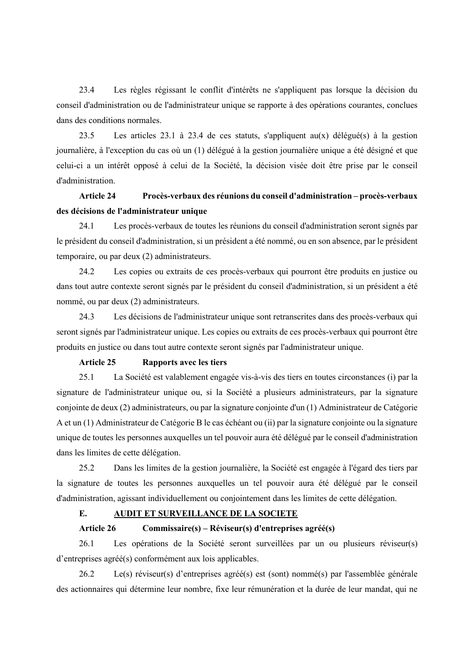23.4 Les règles régissant le conflit d'intérêts ne s'appliquent pas lorsque la décision du conseil d'administration ou de l'administrateur unique se rapporte à des opérations courantes, conclues dans des conditions normales.

23.5 Les articles 23.1 à 23.4 de ces statuts, s'appliquent au(x) délégué(s) à la gestion journalière, à l'exception du cas où un (1) délégué à la gestion journalière unique a été désigné et que celui-ci a un intérêt opposé à celui de la Société, la décision visée doit être prise par le conseil d'administration.

# **Article 24 Procès-verbaux des réunions du conseil d'administration – procès-verbaux des décisions de l'administrateur unique**

24.1 Les procès-verbaux de toutes les réunions du conseil d'administration seront signés par le président du conseil d'administration, si un président a été nommé, ou en son absence, par le président temporaire, ou par deux (2) administrateurs.

24.2 Les copies ou extraits de ces procès-verbaux qui pourront être produits en justice ou dans tout autre contexte seront signés par le président du conseil d'administration, si un président a été nommé, ou par deux (2) administrateurs.

24.3 Les décisions de l'administrateur unique sont retranscrites dans des procès-verbaux qui seront signés par l'administrateur unique. Les copies ou extraits de ces procès-verbaux qui pourront être produits en justice ou dans tout autre contexte seront signés par l'administrateur unique.

# **Article 25 Rapports avec les tiers**

25.1 La Société est valablement engagée vis-à-vis des tiers en toutes circonstances (i) par la signature de l'administrateur unique ou, si la Société a plusieurs administrateurs, par la signature conjointe de deux (2) administrateurs, ou par la signature conjointe d'un (1) Administrateur de Catégorie A et un (1) Administrateur de Catégorie B le cas échéant ou (ii) par la signature conjointe ou la signature unique de toutes les personnes auxquelles un tel pouvoir aura été délégué par le conseil d'administration dans les limites de cette délégation.

25.2 Dans les limites de la gestion journalière, la Société est engagée à l'égard des tiers par la signature de toutes les personnes auxquelles un tel pouvoir aura été délégué par le conseil d'administration, agissant individuellement ou conjointement dans les limites de cette délégation.

# **E. AUDIT ET SURVEILLANCE DE LA SOCIETE**

## **Article 26 Commissaire(s) – Réviseur(s) d'entreprises agréé(s)**

26.1 Les opérations de la Société seront surveillées par un ou plusieurs réviseur(s) d'entreprises agréé(s) conformément aux lois applicables.

26.2 Le(s) réviseur(s) d'entreprises agréé(s) est (sont) nommé(s) par l'assemblée générale des actionnaires qui détermine leur nombre, fixe leur rémunération et la durée de leur mandat, qui ne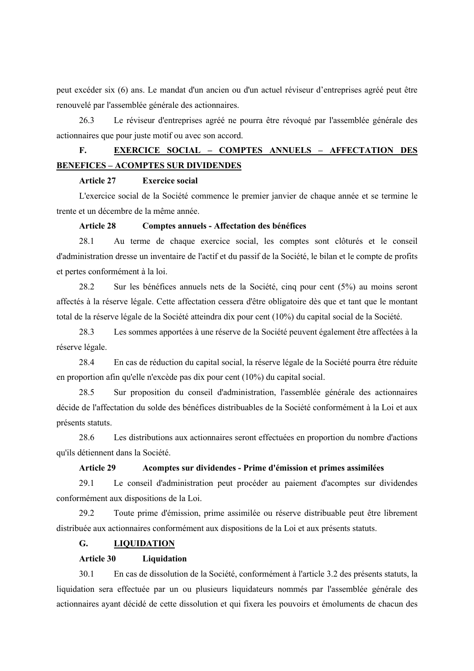peut excéder six (6) ans. Le mandat d'un ancien ou d'un actuel réviseur d'entreprises agréé peut être renouvelé par l'assemblée générale des actionnaires.

26.3 Le réviseur d'entreprises agréé ne pourra être révoqué par l'assemblée générale des actionnaires que pour juste motif ou avec son accord.

# **F. EXERCICE SOCIAL – COMPTES ANNUELS – AFFECTATION DES BENEFICES – ACOMPTES SUR DIVIDENDES**

# **Article 27 Exercice social**

L'exercice social de la Société commence le premier janvier de chaque année et se termine le trente et un décembre de la même année.

# **Article 28 Comptes annuels - Affectation des bénéfices**

28.1 Au terme de chaque exercice social, les comptes sont clôturés et le conseil d'administration dresse un inventaire de l'actif et du passif de la Société, le bilan et le compte de profits et pertes conformément à la loi.

28.2 Sur les bénéfices annuels nets de la Société, cinq pour cent (5%) au moins seront affectés à la réserve légale. Cette affectation cessera d'être obligatoire dès que et tant que le montant total de la réserve légale de la Société atteindra dix pour cent (10%) du capital social de la Société.

28.3 Les sommes apportées à une réserve de la Société peuvent également être affectées à la réserve légale.

28.4 En cas de réduction du capital social, la réserve légale de la Société pourra être réduite en proportion afin qu'elle n'excède pas dix pour cent (10%) du capital social.

28.5 Sur proposition du conseil d'administration, l'assemblée générale des actionnaires décide de l'affectation du solde des bénéfices distribuables de la Société conformément à la Loi et aux présents statuts.

28.6 Les distributions aux actionnaires seront effectuées en proportion du nombre d'actions qu'ils détiennent dans la Société.

# **Article 29 Acomptes sur dividendes - Prime d'émission et primes assimilées**

29.1 Le conseil d'administration peut procéder au paiement d'acomptes sur dividendes conformément aux dispositions de la Loi.

29.2 Toute prime d'émission, prime assimilée ou réserve distribuable peut être librement distribuée aux actionnaires conformément aux dispositions de la Loi et aux présents statuts.

## **G. LIQUIDATION**

## **Article 30 Liquidation**

30.1 En cas de dissolution de la Société, conformément à l'article 3.2 des présents statuts, la liquidation sera effectuée par un ou plusieurs liquidateurs nommés par l'assemblée générale des actionnaires ayant décidé de cette dissolution et qui fixera les pouvoirs et émoluments de chacun des